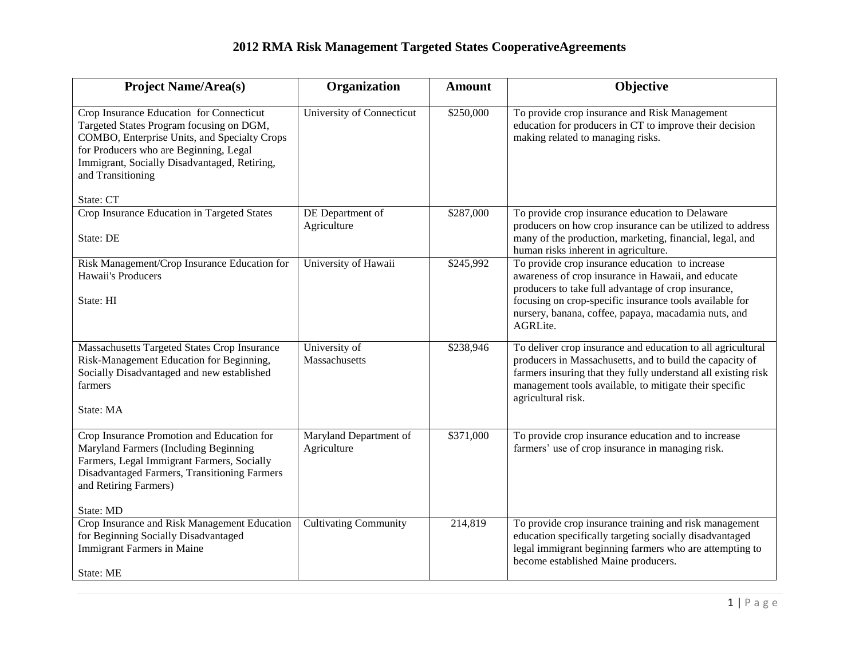## **2012 RMA Risk Management Targeted States CooperativeAgreements**

| <b>Project Name/Area(s)</b>                                                                                                                                                                                                                         | Organization                          | <b>Amount</b> | Objective                                                                                                                                                                                                                                                                                   |
|-----------------------------------------------------------------------------------------------------------------------------------------------------------------------------------------------------------------------------------------------------|---------------------------------------|---------------|---------------------------------------------------------------------------------------------------------------------------------------------------------------------------------------------------------------------------------------------------------------------------------------------|
| Crop Insurance Education for Connecticut<br>Targeted States Program focusing on DGM,<br>COMBO, Enterprise Units, and Specialty Crops<br>for Producers who are Beginning, Legal<br>Immigrant, Socially Disadvantaged, Retiring,<br>and Transitioning | University of Connecticut             | \$250,000     | To provide crop insurance and Risk Management<br>education for producers in CT to improve their decision<br>making related to managing risks.                                                                                                                                               |
| State: CT                                                                                                                                                                                                                                           |                                       |               |                                                                                                                                                                                                                                                                                             |
| Crop Insurance Education in Targeted States<br>State: DE                                                                                                                                                                                            | DE Department of<br>Agriculture       | \$287,000     | To provide crop insurance education to Delaware<br>producers on how crop insurance can be utilized to address<br>many of the production, marketing, financial, legal, and<br>human risks inherent in agriculture.                                                                           |
| Risk Management/Crop Insurance Education for<br>Hawaii's Producers<br>State: HI                                                                                                                                                                     | University of Hawaii                  | \$245,992     | To provide crop insurance education to increase<br>awareness of crop insurance in Hawaii, and educate<br>producers to take full advantage of crop insurance,<br>focusing on crop-specific insurance tools available for<br>nursery, banana, coffee, papaya, macadamia nuts, and<br>AGRLite. |
| Massachusetts Targeted States Crop Insurance<br>Risk-Management Education for Beginning,<br>Socially Disadvantaged and new established<br>farmers<br>State: MA                                                                                      | University of<br>Massachusetts        | \$238,946     | To deliver crop insurance and education to all agricultural<br>producers in Massachusetts, and to build the capacity of<br>farmers insuring that they fully understand all existing risk<br>management tools available, to mitigate their specific<br>agricultural risk.                    |
| Crop Insurance Promotion and Education for<br>Maryland Farmers (Including Beginning<br>Farmers, Legal Immigrant Farmers, Socially<br>Disadvantaged Farmers, Transitioning Farmers<br>and Retiring Farmers)<br>State: MD                             | Maryland Department of<br>Agriculture | \$371,000     | To provide crop insurance education and to increase<br>farmers' use of crop insurance in managing risk.                                                                                                                                                                                     |
| Crop Insurance and Risk Management Education<br>for Beginning Socially Disadvantaged<br><b>Immigrant Farmers in Maine</b><br>State: ME                                                                                                              | <b>Cultivating Community</b>          | 214,819       | To provide crop insurance training and risk management<br>education specifically targeting socially disadvantaged<br>legal immigrant beginning farmers who are attempting to<br>become established Maine producers.                                                                         |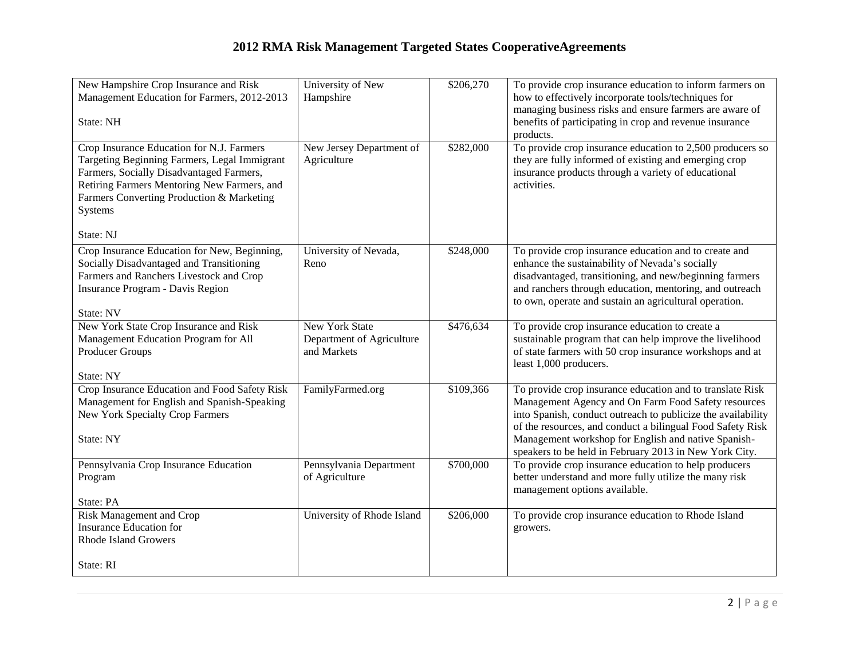## **2012 RMA Risk Management Targeted States CooperativeAgreements**

| New Hampshire Crop Insurance and Risk<br>Management Education for Farmers, 2012-2013                                                                                                                                                         | University of New<br>Hampshire                                    | \$206,270 | To provide crop insurance education to inform farmers on<br>how to effectively incorporate tools/techniques for                                                                                                                                                                                                                                                 |
|----------------------------------------------------------------------------------------------------------------------------------------------------------------------------------------------------------------------------------------------|-------------------------------------------------------------------|-----------|-----------------------------------------------------------------------------------------------------------------------------------------------------------------------------------------------------------------------------------------------------------------------------------------------------------------------------------------------------------------|
| State: NH                                                                                                                                                                                                                                    |                                                                   |           | managing business risks and ensure farmers are aware of<br>benefits of participating in crop and revenue insurance<br>products.                                                                                                                                                                                                                                 |
| Crop Insurance Education for N.J. Farmers<br>Targeting Beginning Farmers, Legal Immigrant<br>Farmers, Socially Disadvantaged Farmers,<br>Retiring Farmers Mentoring New Farmers, and<br>Farmers Converting Production & Marketing<br>Systems | New Jersey Department of<br>Agriculture                           | \$282,000 | To provide crop insurance education to $2,500$ producers so<br>they are fully informed of existing and emerging crop<br>insurance products through a variety of educational<br>activities.                                                                                                                                                                      |
| State: NJ                                                                                                                                                                                                                                    |                                                                   |           |                                                                                                                                                                                                                                                                                                                                                                 |
| Crop Insurance Education for New, Beginning,<br>Socially Disadvantaged and Transitioning<br>Farmers and Ranchers Livestock and Crop<br>Insurance Program - Davis Region                                                                      | University of Nevada,<br>Reno                                     | \$248,000 | To provide crop insurance education and to create and<br>enhance the sustainability of Nevada's socially<br>disadvantaged, transitioning, and new/beginning farmers<br>and ranchers through education, mentoring, and outreach<br>to own, operate and sustain an agricultural operation.                                                                        |
| State: NV                                                                                                                                                                                                                                    |                                                                   |           |                                                                                                                                                                                                                                                                                                                                                                 |
| New York State Crop Insurance and Risk<br>Management Education Program for All<br><b>Producer Groups</b>                                                                                                                                     | <b>New York State</b><br>Department of Agriculture<br>and Markets | \$476,634 | To provide crop insurance education to create a<br>sustainable program that can help improve the livelihood<br>of state farmers with 50 crop insurance workshops and at<br>least 1,000 producers.                                                                                                                                                               |
| State: NY                                                                                                                                                                                                                                    |                                                                   |           |                                                                                                                                                                                                                                                                                                                                                                 |
| Crop Insurance Education and Food Safety Risk<br>Management for English and Spanish-Speaking<br><b>New York Specialty Crop Farmers</b><br>State: NY                                                                                          | FamilyFarmed.org                                                  | \$109,366 | To provide crop insurance education and to translate Risk<br>Management Agency and On Farm Food Safety resources<br>into Spanish, conduct outreach to publicize the availability<br>of the resources, and conduct a bilingual Food Safety Risk<br>Management workshop for English and native Spanish-<br>speakers to be held in February 2013 in New York City. |
| Pennsylvania Crop Insurance Education                                                                                                                                                                                                        | Pennsylvania Department                                           | \$700,000 | To provide crop insurance education to help producers                                                                                                                                                                                                                                                                                                           |
| Program                                                                                                                                                                                                                                      | of Agriculture                                                    |           | better understand and more fully utilize the many risk<br>management options available.                                                                                                                                                                                                                                                                         |
| State: PA                                                                                                                                                                                                                                    |                                                                   |           |                                                                                                                                                                                                                                                                                                                                                                 |
| Risk Management and Crop<br>Insurance Education for<br><b>Rhode Island Growers</b>                                                                                                                                                           | University of Rhode Island                                        | \$206,000 | To provide crop insurance education to Rhode Island<br>growers.                                                                                                                                                                                                                                                                                                 |
| State: RI                                                                                                                                                                                                                                    |                                                                   |           |                                                                                                                                                                                                                                                                                                                                                                 |